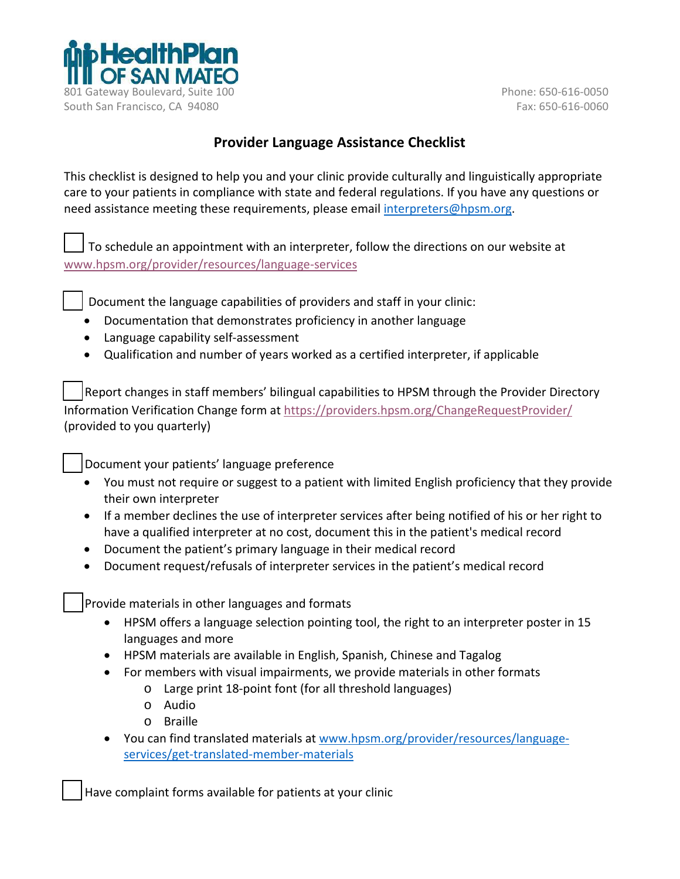

## **Provider Language Assistance Checklist**

This checklist is designed to help you and your clinic provide culturally and linguistically appropriate care to your patients in compliance with state and federal regulations. If you have any questions or need assistance meeting these requirements, please email [interpreters@hpsm.org.](mailto:interpreters@hpsm.org)

To schedule an appointment with an interpreter, follow the directions on our website at [www.hpsm.org/provider/resources/language-services](http://www.hpsm.org/provider/resources/language-services) 

Document the language capabilities of providers and staff in your clinic:

- Documentation that demonstrates proficiency in another language
- Language capability self-assessment
- Qualification and number of years worked as a certified interpreter, if applicable

Report changes in staff members' bilingual capabilities to HPSM through the Provider Directory Information Verification Change form a[t https://providers.hpsm.org/ChangeRequestProvider/](https://providers.hpsm.org/ChangeRequestProvider/) (provided to you quarterly)

Document your patients' language preference

- You must not require or suggest to a patient with limited English proficiency that they provide their own interpreter
- If a member declines the use of interpreter services after being notified of his or her right to have a qualified interpreter at no cost, document this in the patient's medical record
- Document the patient's primary language in their medical record
- Document request/refusals of interpreter services in the patient's medical record

Provide materials in other languages and formats

- HPSM offers a language selection pointing tool, the right to an interpreter poster in 15 languages and more
- HPSM materials are available in English, Spanish, Chinese and Tagalog
- For members with visual impairments, we provide materials in other formats
	- o Large print 18-point font (for all threshold languages)
	- o Audio
	- o Braille
- You can find translated materials at [www.hpsm.org/provider/resources/language](http://www.hpsm.org/provider/resources/language-services/get-translated-member-materials)[services/get-translated-member-materials](http://www.hpsm.org/provider/resources/language-services/get-translated-member-materials)

Have complaint forms available for patients at your clinic